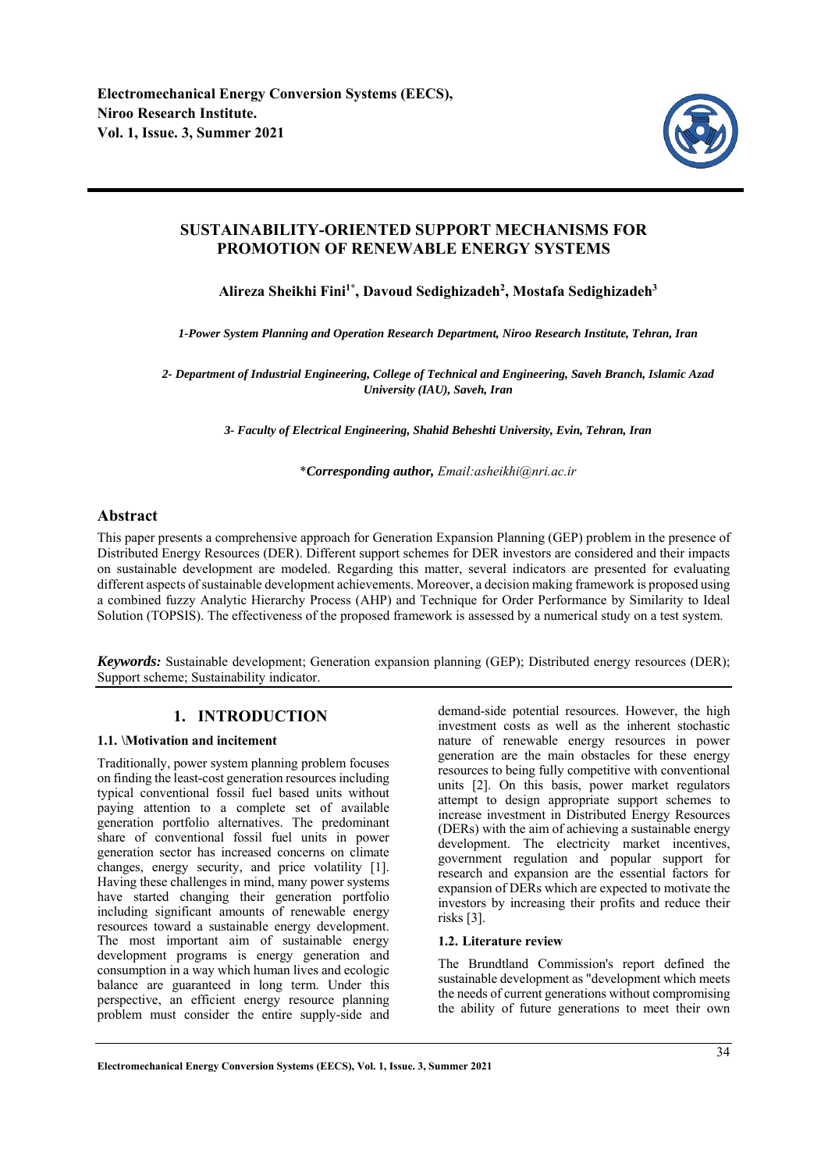

# **SUSTAINABILITY-ORIENTED SUPPORT MECHANISMS FOR PROMOTION OF RENEWABLE ENERGY SYSTEMS**

Alireza Sheikhi Fini<sup>1\*</sup>, Davoud Sedighizadeh<sup>2</sup>, Mostafa Sedighizadeh<sup>3</sup>

*1-Power System Planning and Operation Research Department, Niroo Research Institute, Tehran, Iran* 

*2- Department of Industrial Engineering, College of Technical and Engineering, Saveh Branch, Islamic Azad University (IAU), Saveh, Iran* 

*3- Faculty of Electrical Engineering, Shahid Beheshti University, Evin, Tehran, Iran* 

\**Corresponding author, Email:asheikhi@nri.ac.ir*

# **Abstract**

This paper presents a comprehensive approach for Generation Expansion Planning (GEP) problem in the presence of Distributed Energy Resources (DER). Different support schemes for DER investors are considered and their impacts on sustainable development are modeled. Regarding this matter, several indicators are presented for evaluating different aspects of sustainable development achievements. Moreover, a decision making framework is proposed using a combined fuzzy Analytic Hierarchy Process (AHP) and Technique for Order Performance by Similarity to Ideal Solution (TOPSIS). The effectiveness of the proposed framework is assessed by a numerical study on a test system.

*Keywords:* Sustainable development; Generation expansion planning (GEP); Distributed energy resources (DER); Support scheme; Sustainability indicator.

# **1. INTRODUCTION**

# **1.1. \Motivation and incitement**

Traditionally, power system planning problem focuses on finding the least-cost generation resources including typical conventional fossil fuel based units without paying attention to a complete set of available generation portfolio alternatives. The predominant share of conventional fossil fuel units in power generation sector has increased concerns on climate changes, energy security, and price volatility [1]. Having these challenges in mind, many power systems have started changing their generation portfolio including significant amounts of renewable energy resources toward a sustainable energy development. The most important aim of sustainable energy development programs is energy generation and consumption in a way which human lives and ecologic balance are guaranteed in long term. Under this perspective, an efficient energy resource planning problem must consider the entire supply-side and

demand-side potential resources. However, the high investment costs as well as the inherent stochastic nature of renewable energy resources in power generation are the main obstacles for these energy resources to being fully competitive with conventional units [2]. On this basis, power market regulators attempt to design appropriate support schemes to increase investment in Distributed Energy Resources (DERs) with the aim of achieving a sustainable energy development. The electricity market incentives, government regulation and popular support for research and expansion are the essential factors for expansion of DERs which are expected to motivate the investors by increasing their profits and reduce their risks [3].

# **1.2. Literature review**

The Brundtland Commission's report defined the sustainable development as "development which meets the needs of current generations without compromising the ability of future generations to meet their own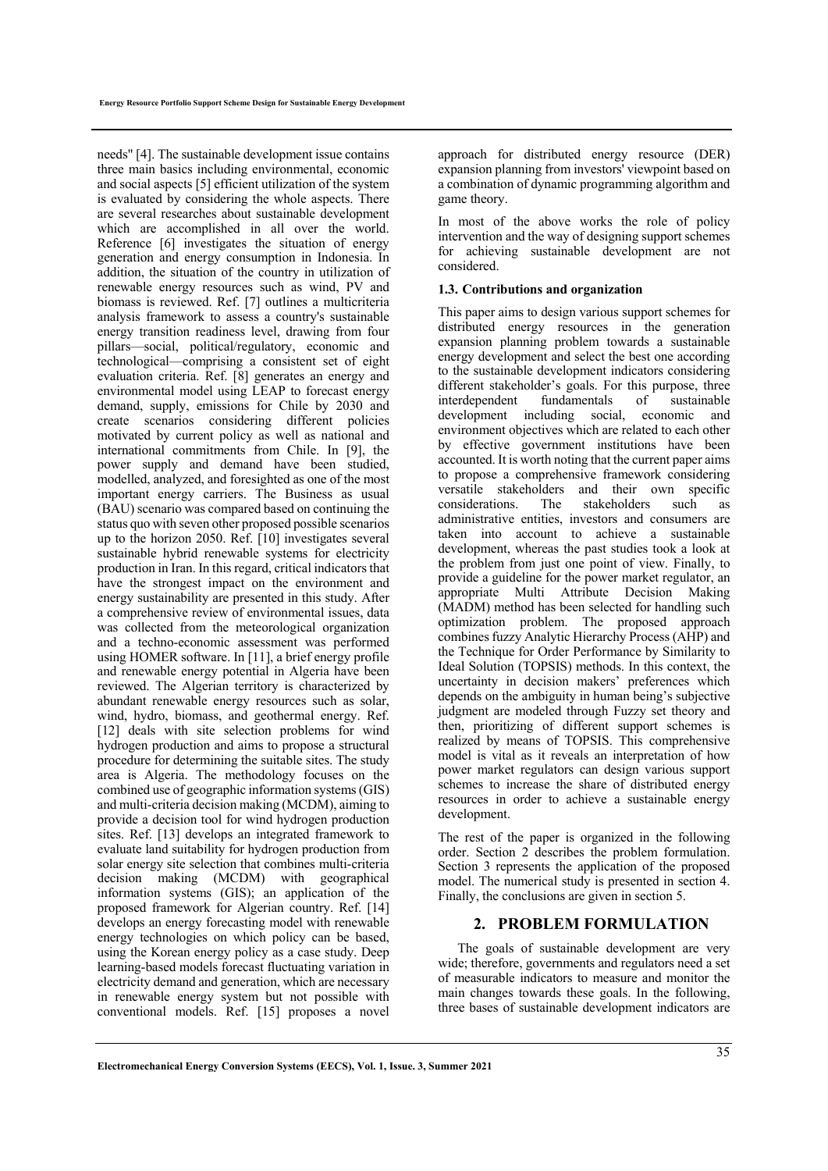needs" [4]. The sustainable development issue contains three main basics including environmental, economic and social aspects [5] efficient utilization of the system is evaluated by considering the whole aspects. There are several researches about sustainable development which are accomplished in all over the world. Reference [6] investigates the situation of energy generation and energy consumption in Indonesia. In addition, the situation of the country in utilization of renewable energy resources such as wind, PV and biomass is reviewed. Ref. [7] outlines a multicriteria analysis framework to assess a country's sustainable energy transition readiness level, drawing from four pillars—social, political/regulatory, economic and technological—comprising a consistent set of eight evaluation criteria. Ref. [8] generates an energy and environmental model using LEAP to forecast energy demand, supply, emissions for Chile by 2030 and create scenarios considering different policies motivated by current policy as well as national and international commitments from Chile. In [9], the power supply and demand have been studied, modelled, analyzed, and foresighted as one of the most important energy carriers. The Business as usual (BAU) scenario was compared based on continuing the status quo with seven other proposed possible scenarios up to the horizon 2050. Ref. [10] investigates several sustainable hybrid renewable systems for electricity production in Iran. In this regard, critical indicators that have the strongest impact on the environment and energy sustainability are presented in this study. After a comprehensive review of environmental issues, data was collected from the meteorological organization and a techno-economic assessment was performed using HOMER software. In [11], a brief energy profile and renewable energy potential in Algeria have been reviewed. The Algerian territory is characterized by abundant renewable energy resources such as solar, wind, hydro, biomass, and geothermal energy. Ref. [12] deals with site selection problems for wind hydrogen production and aims to propose a structural procedure for determining the suitable sites. The study area is Algeria. The methodology focuses on the combined use of geographic information systems (GIS) and multi-criteria decision making (MCDM), aiming to provide a decision tool for wind hydrogen production sites. Ref. [13] develops an integrated framework to evaluate land suitability for hydrogen production from solar energy site selection that combines multi-criteria decision making (MCDM) with geographical information systems (GIS); an application of the proposed framework for Algerian country. Ref. [14] develops an energy forecasting model with renewable energy technologies on which policy can be based, using the Korean energy policy as a case study. Deep learning-based models forecast fluctuating variation in electricity demand and generation, which are necessary in renewable energy system but not possible with conventional models. Ref. [15] proposes a novel

approach for distributed energy resource (DER) expansion planning from investors' viewpoint based on a combination of dynamic programming algorithm and game theory.

In most of the above works the role of policy intervention and the way of designing support schemes for achieving sustainable development are not considered.

## **1.3. Contributions and organization**

This paper aims to design various support schemes for distributed energy resources in the generation expansion planning problem towards a sustainable energy development and select the best one according to the sustainable development indicators considering different stakeholder's goals. For this purpose, three interdependent fundamentals of sustainable development including social, economic and environment objectives which are related to each other by effective government institutions have been accounted. It is worth noting that the current paper aims to propose a comprehensive framework considering versatile stakeholders and their own specific considerations. The stakeholders such as administrative entities, investors and consumers are taken into account to achieve a sustainable development, whereas the past studies took a look at the problem from just one point of view. Finally, to provide a guideline for the power market regulator, an appropriate Multi Attribute Decision Making (MADM) method has been selected for handling such optimization problem. The proposed approach combines fuzzy Analytic Hierarchy Process (AHP) and the Technique for Order Performance by Similarity to Ideal Solution (TOPSIS) methods. In this context, the uncertainty in decision makers' preferences which depends on the ambiguity in human being's subjective judgment are modeled through Fuzzy set theory and then, prioritizing of different support schemes is realized by means of TOPSIS. This comprehensive model is vital as it reveals an interpretation of how power market regulators can design various support schemes to increase the share of distributed energy resources in order to achieve a sustainable energy development.

The rest of the paper is organized in the following order. Section 2 describes the problem formulation. Section 3 represents the application of the proposed model. The numerical study is presented in section 4. Finally, the conclusions are given in section 5.

# **2. PROBLEM FORMULATION**

The goals of sustainable development are very wide; therefore, governments and regulators need a set of measurable indicators to measure and monitor the main changes towards these goals. In the following, three bases of sustainable development indicators are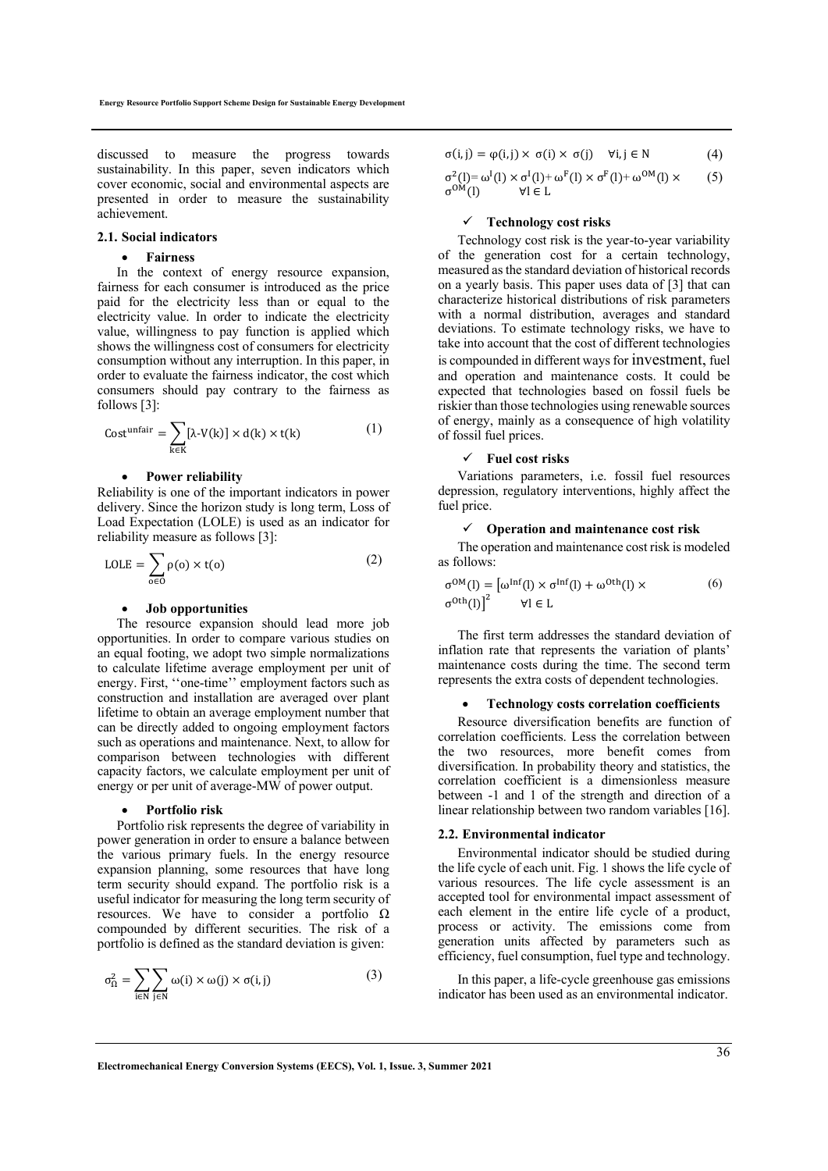discussed to measure the progress towards sustainability. In this paper, seven indicators which cover economic, social and environmental aspects are presented in order to measure the sustainability achievement.

#### **2.1. Social indicators**

## **Fairness**

In the context of energy resource expansion, fairness for each consumer is introduced as the price paid for the electricity less than or equal to the electricity value. In order to indicate the electricity value, willingness to pay function is applied which shows the willingness cost of consumers for electricity consumption without any interruption. In this paper, in order to evaluate the fairness indicator, the cost which consumers should pay contrary to the fairness as follows [3]:

$$
Costunfair = \sum_{k \in K} [\lambda \cdot V(k)] \times d(k) \times t(k)
$$
 (1)

#### **Power reliability**

Reliability is one of the important indicators in power delivery. Since the horizon study is long term, Loss of Load Expectation (LOLE) is used as an indicator for reliability measure as follows [3]:

$$
LOLE = \sum_{o \in O} \rho(o) \times t(o)
$$
 (2)

#### **Job opportunities**

The resource expansion should lead more job opportunities. In order to compare various studies on an equal footing, we adopt two simple normalizations to calculate lifetime average employment per unit of energy. First, ''one-time'' employment factors such as construction and installation are averaged over plant lifetime to obtain an average employment number that can be directly added to ongoing employment factors such as operations and maintenance. Next, to allow for comparison between technologies with different capacity factors, we calculate employment per unit of energy or per unit of average-MW of power output.

#### **Portfolio risk**

Portfolio risk represents the degree of variability in power generation in order to ensure a balance between the various primary fuels. In the energy resource expansion planning, some resources that have long term security should expand. The portfolio risk is a useful indicator for measuring the long term security of resources. We have to consider a portfolio  $\Omega$ compounded by different securities. The risk of a portfolio is defined as the standard deviation is given:

$$
\sigma_{\Omega}^{2} = \sum_{i \in N} \sum_{j \in N} \omega(i) \times \omega(j) \times \sigma(i, j)
$$
 (3)

$$
\sigma(i,j) = \varphi(i,j) \times \sigma(i) \times \sigma(j) \quad \forall i,j \in \mathbb{N} \tag{4}
$$

$$
\begin{array}{ll}\n\sigma^2(l) = \omega^I(l) \times \sigma^I(l) + \omega^F(l) \times \sigma^F(l) + \omega^{OM}(l) \times \\
\sigma^{OM}(l) & \forall l \in L\n\end{array} \tag{5}
$$

#### **Technology cost risks**

Technology cost risk is the year-to-year variability of the generation cost for a certain technology, measured as the standard deviation of historical records on a yearly basis. This paper uses data of [3] that can characterize historical distributions of risk parameters with a normal distribution, averages and standard deviations. To estimate technology risks, we have to take into account that the cost of different technologies is compounded in different ways for investment, fuel and operation and maintenance costs. It could be expected that technologies based on fossil fuels be riskier than those technologies using renewable sources of energy, mainly as a consequence of high volatility of fossil fuel prices.

### **Fuel cost risks**

Variations parameters, i.e. fossil fuel resources depression, regulatory interventions, highly affect the fuel price.

#### **Operation and maintenance cost risk**

The operation and maintenance cost risk is modeled as follows:

$$
\sigma^{OM}(l) = [\omega^{\text{Inf}}(l) \times \sigma^{\text{Inf}}(l) + \omega^{\text{Oth}}(l) \times
$$
  
\n
$$
\sigma^{\text{Oth}}(l)\big)^2 \qquad \forall l \in L
$$
\n(6)

The first term addresses the standard deviation of inflation rate that represents the variation of plants' maintenance costs during the time. The second term represents the extra costs of dependent technologies.

## **Technology costs correlation coefficients**

Resource diversification benefits are function of correlation coefficients. Less the correlation between the two resources, more benefit comes from diversification. In probability theory and statistics, the correlation coefficient is a dimensionless measure between -1 and 1 of the strength and direction of a linear relationship between two random variables [16].

## **2.2. Environmental indicator**

Environmental indicator should be studied during the life cycle of each unit. Fig. 1 shows the life cycle of various resources. The life cycle assessment is an accepted tool for environmental impact assessment of each element in the entire life cycle of a product, process or activity. The emissions come from generation units affected by parameters such as efficiency, fuel consumption, fuel type and technology.

In this paper, a life-cycle greenhouse gas emissions indicator has been used as an environmental indicator.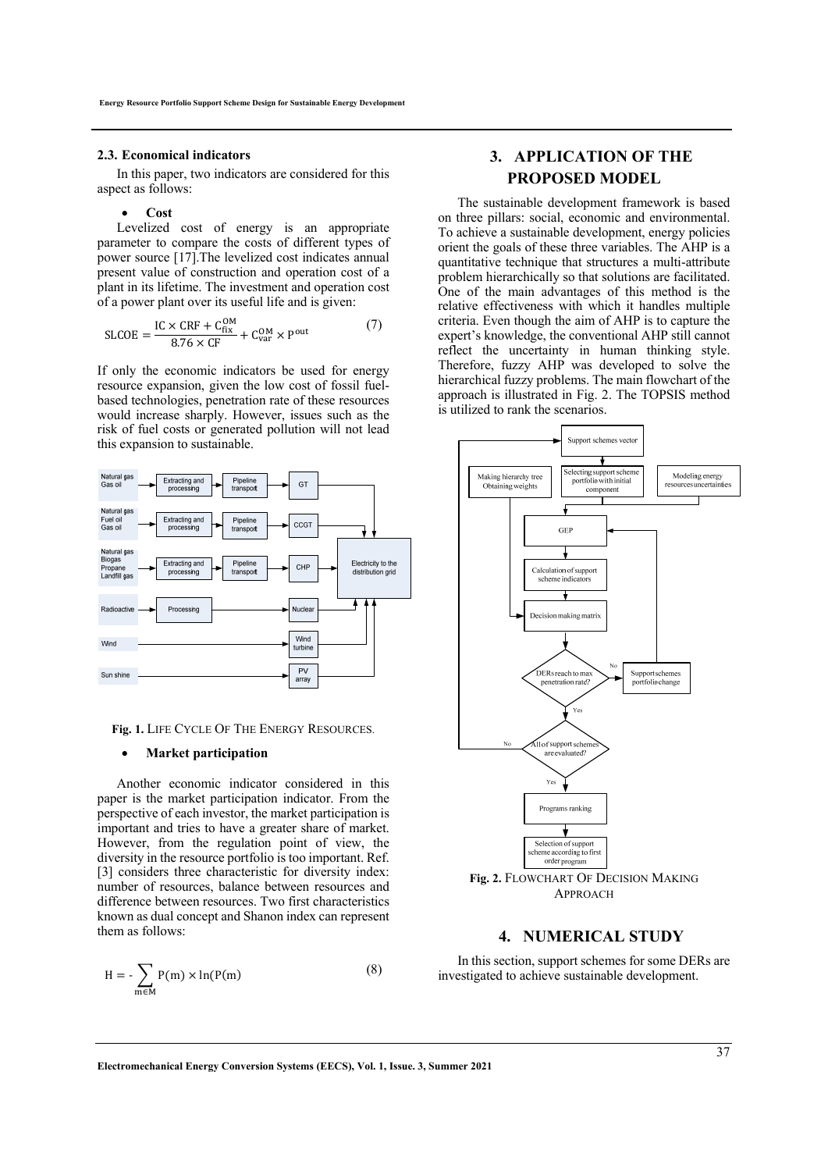#### **2.3. Economical indicators**

In this paper, two indicators are considered for this aspect as follows:

#### **Cost**

Levelized cost of energy is an appropriate parameter to compare the costs of different types of power source [17].The levelized cost indicates annual present value of construction and operation cost of a plant in its lifetime. The investment and operation cost of a power plant over its useful life and is given:

$$
SLCOE = \frac{IC \times CRF + C_{fix}^{OM}}{8.76 \times CF} + C_{var}^{OM} \times P^{out}
$$
 (7)

If only the economic indicators be used for energy resource expansion, given the low cost of fossil fuelbased technologies, penetration rate of these resources would increase sharply. However, issues such as the risk of fuel costs or generated pollution will not lead this expansion to sustainable.



**Fig. 1.** LIFE CYCLE OF THE ENERGY RESOURCES.

#### **Market participation**

Another economic indicator considered in this paper is the market participation indicator. From the perspective of each investor, the market participation is important and tries to have a greater share of market. However, from the regulation point of view, the diversity in the resource portfolio is too important. Ref. [3] considers three characteristic for diversity index: number of resources, balance between resources and difference between resources. Two first characteristics known as dual concept and Shanon index can represent them as follows:

$$
H = -\sum_{m \in M} P(m) \times \ln(P(m) \tag{8}
$$

# **3. APPLICATION OF THE PROPOSED MODEL**

The sustainable development framework is based on three pillars: social, economic and environmental. To achieve a sustainable development, energy policies orient the goals of these three variables. The AHP is a quantitative technique that structures a multi-attribute problem hierarchically so that solutions are facilitated. One of the main advantages of this method is the relative effectiveness with which it handles multiple criteria. Even though the aim of AHP is to capture the expert's knowledge, the conventional AHP still cannot reflect the uncertainty in human thinking style. Therefore, fuzzy AHP was developed to solve the hierarchical fuzzy problems. The main flowchart of the approach is illustrated in Fig. 2. The TOPSIS method is utilized to rank the scenarios.



APPROACH

# **4. NUMERICAL STUDY**

In this section, support schemes for some DERs are investigated to achieve sustainable development.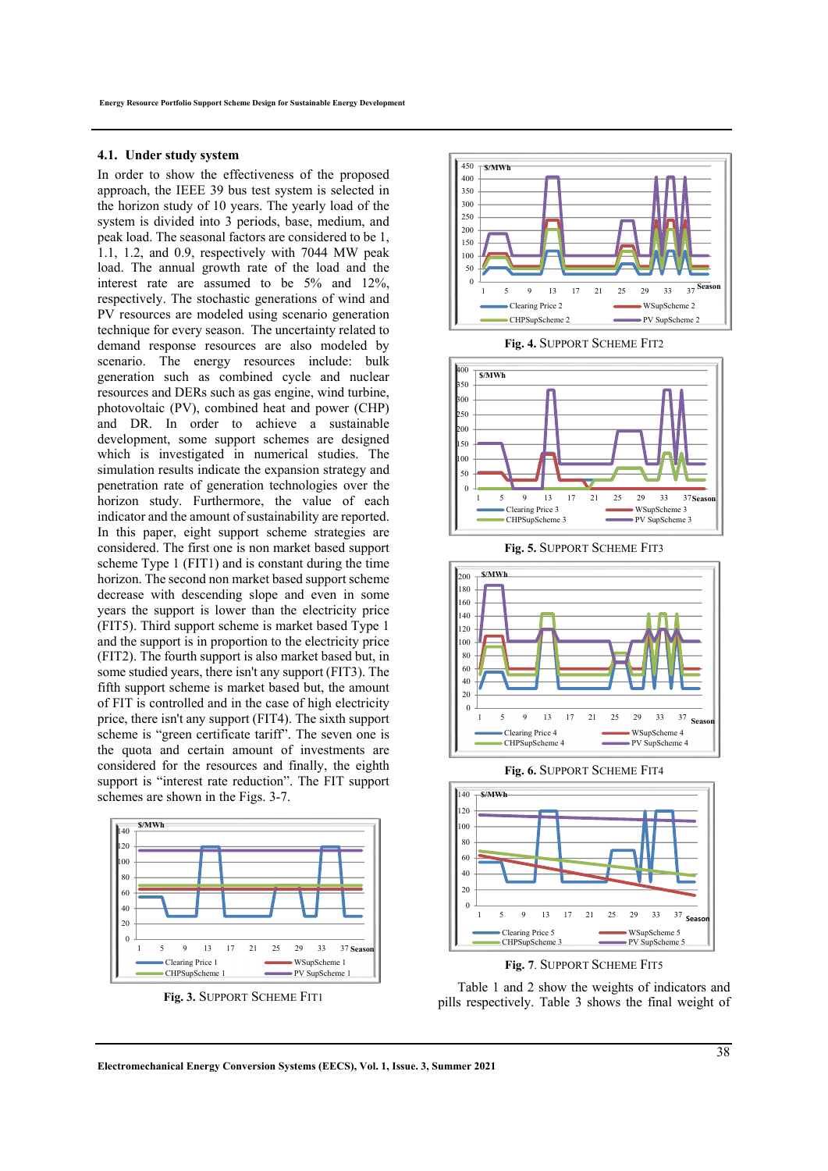#### **4.1. Under study system**

In order to show the effectiveness of the proposed approach, the IEEE 39 bus test system is selected in the horizon study of 10 years. The yearly load of the system is divided into 3 periods, base, medium, and peak load. The seasonal factors are considered to be 1, 1.1, 1.2, and 0.9, respectively with 7044 MW peak load. The annual growth rate of the load and the interest rate are assumed to be 5% and 12%, respectively. The stochastic generations of wind and PV resources are modeled using scenario generation technique for every season. The uncertainty related to demand response resources are also modeled by scenario. The energy resources include: bulk generation such as combined cycle and nuclear resources and DERs such as gas engine, wind turbine, photovoltaic (PV), combined heat and power (CHP) and DR. In order to achieve a sustainable development, some support schemes are designed which is investigated in numerical studies. The simulation results indicate the expansion strategy and penetration rate of generation technologies over the horizon study. Furthermore, the value of each indicator and the amount of sustainability are reported. In this paper, eight support scheme strategies are considered. The first one is non market based support scheme Type 1 (FIT1) and is constant during the time horizon. The second non market based support scheme decrease with descending slope and even in some years the support is lower than the electricity price (FIT5). Third support scheme is market based Type 1 and the support is in proportion to the electricity price (FIT2). The fourth support is also market based but, in some studied years, there isn't any support (FIT3). The fifth support scheme is market based but, the amount of FIT is controlled and in the case of high electricity price, there isn't any support (FIT4). The sixth support scheme is "green certificate tariff". The seven one is the quota and certain amount of investments are considered for the resources and finally, the eighth support is "interest rate reduction". The FIT support schemes are shown in the Figs. 3-7.



**Fig. 3.** SUPPORT SCHEME FIT1







**Fig. 5.** SUPPORT SCHEME FIT3



**Fig. 6.** SUPPORT SCHEME FIT4





Table 1 and 2 show the weights of indicators and pills respectively. Table 3 shows the final weight of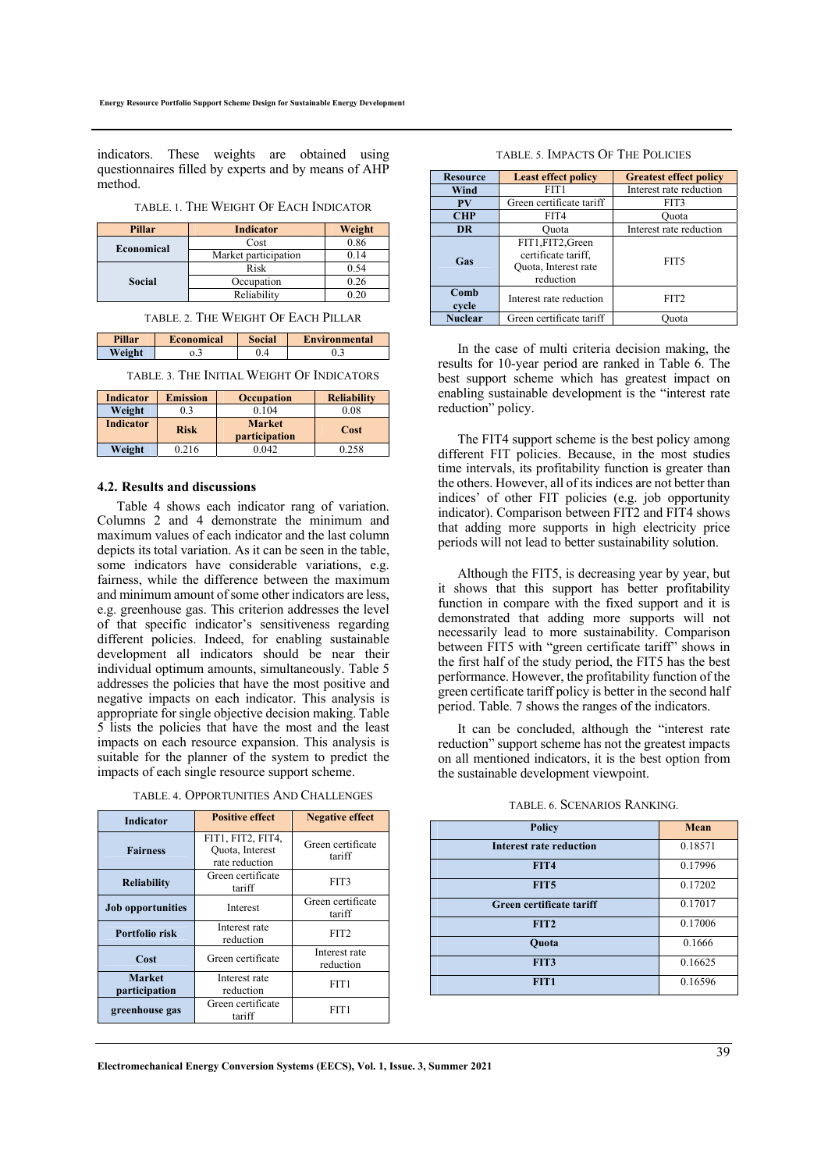indicators. These weights are obtained using questionnaires filled by experts and by means of AHP method.

TABLE. 1. THE WEIGHT OF EACH INDICATOR

| Pillar     | <b>Indicator</b>     | Weight |
|------------|----------------------|--------|
|            | Cost                 | 0.86   |
| Economical | Market participation | 0.14   |
| Social     | Risk                 | 0.54   |
|            | Occupation           | 0.26   |
|            | Reliability          |        |

TABLE. 2. THE WEIGHT OF EACH PILLAR

| Pillar | <b>Economical</b> | Social | <b>Environmental</b> |
|--------|-------------------|--------|----------------------|
| Weight | J.J               |        | υ                    |

TABLE. 3. THE INITIAL WEIGHT OF INDICATORS

| <b>Indicator</b> | <b>Emission</b> | <b>Occupation</b>              | <b>Reliability</b> |
|------------------|-----------------|--------------------------------|--------------------|
| Weight           |                 | 0.104                          | 0.08               |
| <b>Indicator</b> | <b>Risk</b>     | <b>Market</b><br>participation | Cost               |
| Weight           | 0.216           | 0.042                          | 0.258              |

#### **4.2. Results and discussions**

Table 4 shows each indicator rang of variation. Columns 2 and 4 demonstrate the minimum and maximum values of each indicator and the last column depicts its total variation. As it can be seen in the table, some indicators have considerable variations, e.g. fairness, while the difference between the maximum and minimum amount of some other indicators are less, e.g. greenhouse gas. This criterion addresses the level of that specific indicator's sensitiveness regarding different policies. Indeed, for enabling sustainable development all indicators should be near their individual optimum amounts, simultaneously. Table 5 addresses the policies that have the most positive and negative impacts on each indicator. This analysis is appropriate for single objective decision making. Table 5 lists the policies that have the most and the least impacts on each resource expansion. This analysis is suitable for the planner of the system to predict the impacts of each single resource support scheme.

| <b>Indicator</b>               | <b>Positive effect</b>                                 | <b>Negative effect</b>      |  |
|--------------------------------|--------------------------------------------------------|-----------------------------|--|
| <b>Fairness</b>                | FIT1, FIT2, FIT4,<br>Quota, Interest<br>rate reduction | Green certificate<br>tariff |  |
| <b>Reliability</b>             | Green certificate<br>tariff                            | FIT3                        |  |
| <b>Job opportunities</b>       | Interest                                               | Green certificate<br>tariff |  |
| Portfolio risk                 | Interest rate<br>reduction                             | FIT <sub>2</sub>            |  |
| Cost                           | Green certificate                                      | Interest rate<br>reduction  |  |
| <b>Market</b><br>participation | Interest rate<br>reduction                             | FIT <sub>1</sub>            |  |
| greenhouse gas                 | Green certificate<br>tariff                            | FIT1                        |  |

#### TABLE. 4. OPPORTUNITIES AND CHALLENGES

|  | TABLE. 5. IMPACTS OF THE POLICIES |  |  |
|--|-----------------------------------|--|--|
|--|-----------------------------------|--|--|

| <b>Resource</b> | <b>Least effect policy</b>                                                    | <b>Greatest effect policy</b> |
|-----------------|-------------------------------------------------------------------------------|-------------------------------|
| Wind            | FIT1                                                                          | Interest rate reduction       |
| PV              | Green certificate tariff                                                      | FIT3                          |
| <b>CHP</b>      | FIT4                                                                          | Ouota                         |
| <b>DR</b>       | Ouota                                                                         | Interest rate reduction       |
| Gas             | FIT1, FIT2, Green<br>certificate tariff.<br>Quota, Interest rate<br>reduction | FIT <sub>5</sub>              |
| Comb<br>cycle   | Interest rate reduction                                                       | FIT2                          |
| <b>Nuclear</b>  | Green certificate tariff                                                      | )uota                         |

In the case of multi criteria decision making, the results for 10-year period are ranked in Table 6. The best support scheme which has greatest impact on enabling sustainable development is the "interest rate reduction" policy.

The FIT4 support scheme is the best policy among different FIT policies. Because, in the most studies time intervals, its profitability function is greater than the others. However, all of its indices are not better than indices' of other FIT policies (e.g. job opportunity indicator). Comparison between FIT2 and FIT4 shows that adding more supports in high electricity price periods will not lead to better sustainability solution.

Although the FIT5, is decreasing year by year, but it shows that this support has better profitability function in compare with the fixed support and it is demonstrated that adding more supports will not necessarily lead to more sustainability. Comparison between FIT5 with "green certificate tariff" shows in the first half of the study period, the FIT5 has the best performance. However, the profitability function of the green certificate tariff policy is better in the second half period. Table. 7 shows the ranges of the indicators.

It can be concluded, although the "interest rate reduction" support scheme has not the greatest impacts on all mentioned indicators, it is the best option from the sustainable development viewpoint.

|  | TABLE. 6. SCENARIOS RANKING. |  |
|--|------------------------------|--|
|--|------------------------------|--|

| <b>Policy</b>                  | Mean    |
|--------------------------------|---------|
| <b>Interest rate reduction</b> | 0.18571 |
| FIT4                           | 0.17996 |
| FIT5                           | 0.17202 |
| Green certificate tariff       | 0.17017 |
| FIT <sub>2</sub>               | 0.17006 |
| Quota                          | 0.1666  |
| FIT3                           | 0.16625 |
| FIT <sub>1</sub>               | 0.16596 |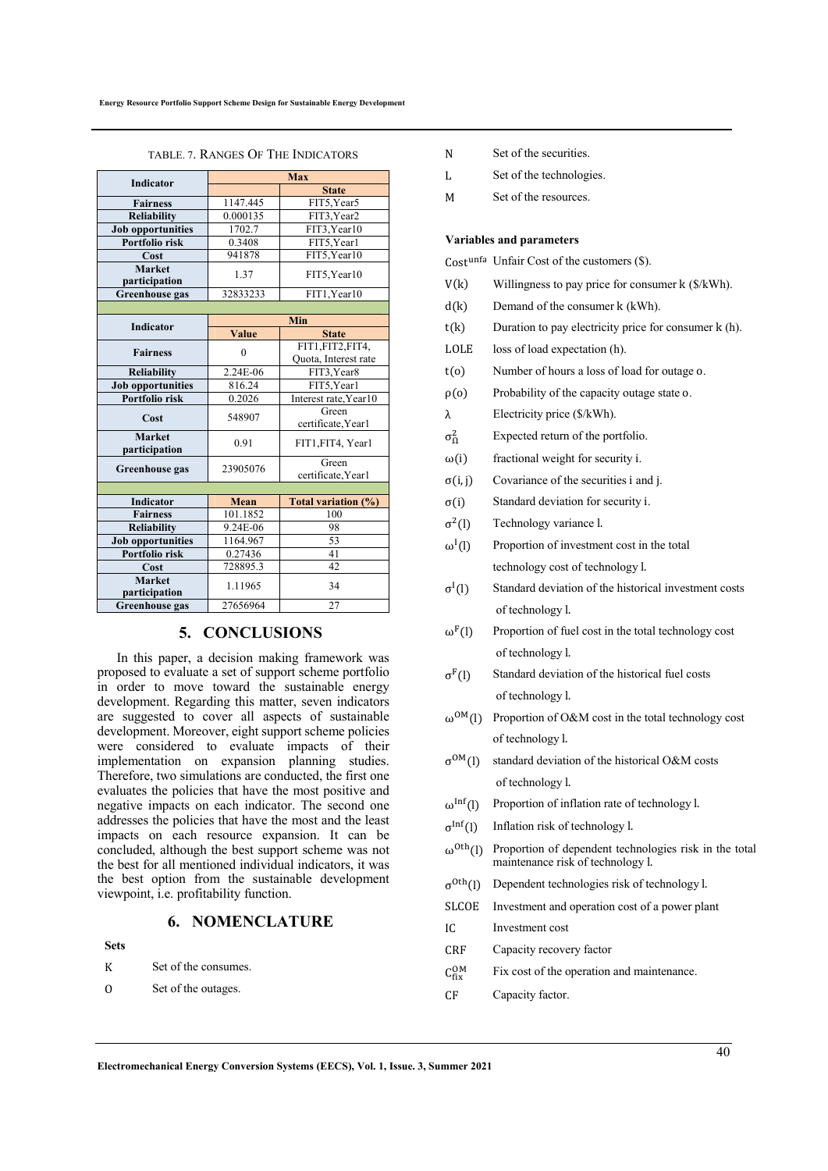| <b>Indicator</b>               | <b>Max</b>                              |                                         |  |
|--------------------------------|-----------------------------------------|-----------------------------------------|--|
|                                |                                         | <b>State</b>                            |  |
| <b>Fairness</b>                | 1147.445                                | FIT5, Year5                             |  |
| <b>Reliability</b>             | 0.000135                                | FIT3, Year2                             |  |
| <b>Job opportunities</b>       | 1702.7                                  | FIT3, Year10                            |  |
| Portfolio risk                 | 0.3408                                  | FIT5, Year1                             |  |
| Cost                           | 941878                                  | FIT5.Year10                             |  |
| <b>Market</b><br>participation | 1.37                                    | FIT5, Year10                            |  |
| <b>Greenhouse gas</b>          | 32833233                                | FIT1, Year10                            |  |
|                                |                                         |                                         |  |
| <b>Indicator</b>               |                                         | Min                                     |  |
|                                | <b>Value</b>                            | <b>State</b>                            |  |
| <b>Fairness</b>                | $\theta$                                | FIT1,FIT2,FIT4,<br>Quota, Interest rate |  |
| <b>Reliability</b>             | 2.24E-06                                | FIT3, Year8                             |  |
| <b>Job opportunities</b>       | 816.24                                  | FIT5, Year1                             |  |
| Portfolio risk                 | 0.2026                                  | Interest rate, Year10                   |  |
| Cost                           | 548907                                  | Green<br>certificate, Year1             |  |
| <b>Market</b><br>participation | 0.91<br>FIT1, FIT4, Year1               |                                         |  |
| <b>Greenhouse gas</b>          | Green<br>23905076<br>certificate, Year1 |                                         |  |
|                                |                                         |                                         |  |
| <b>Indicator</b>               | Mean                                    | Total variation (%)                     |  |
| <b>Fairness</b>                | 101.1852                                | 100                                     |  |
| <b>Reliability</b>             | 9.24E-06                                | 98                                      |  |
| <b>Job opportunities</b>       | 1164.967                                | 53                                      |  |
| Portfolio risk                 | 0.27436                                 | 41                                      |  |
| Cost                           | 728895.3                                | 42                                      |  |
| <b>Market</b><br>participation | 1.11965<br>34                           |                                         |  |
| <b>Greenhouse gas</b>          | 27656964                                | 27                                      |  |

TABLE. 7. RANGES OF THE INDICATORS

# **5. CONCLUSIONS**

In this paper, a decision making framework was proposed to evaluate a set of support scheme portfolio in order to move toward the sustainable energy development. Regarding this matter, seven indicators are suggested to cover all aspects of sustainable development. Moreover, eight support scheme policies were considered to evaluate impacts of their implementation on expansion planning studies. Therefore, two simulations are conducted, the first one evaluates the policies that have the most positive and negative impacts on each indicator. The second one addresses the policies that have the most and the least impacts on each resource expansion. It can be concluded, although the best support scheme was not the best for all mentioned individual indicators, it was the best option from the sustainable development viewpoint, i.e. profitability function.

# **6. NOMENCLATURE**

#### **Sets**

| К | Set of the consumes. |
|---|----------------------|
|   |                      |

O Set of the outages.

| N | Set of the securities. |
|---|------------------------|

L Set of the technologies.

M Set of the resources.

#### **Variables and parameters**

 $Cost<sup>unfa</sup>$  Unfair Cost of the customers  $(\$)$ .

| V(k) | Willingness to pay price for consumer $k$ ( $\frac{\sqrt{k}}{W}$ ). |  |  |  |
|------|---------------------------------------------------------------------|--|--|--|
|------|---------------------------------------------------------------------|--|--|--|

- d(k) Demand of the consumer k (kWh).
- $t(k)$  Duration to pay electricity price for consumer k (h).
- LOLE loss of load expectation (h).
- t(o) Number of hours a loss of load for outage o.
- ρ(o) Probability of the capacity outage state o.
- λ Electricity price (\$/kWh).
- $\sigma_{\Omega}^2$ Expected return of the portfolio.
- $\omega(i)$  fractional weight for security i.
- $\sigma(i, j)$  Covariance of the securities i and j.
- σ(i) Standard deviation for security i.
- $\sigma^2$ (l) Technology variance l.
- $\omega^I(l)$ Proportion of investment cost in the total technology cost of technology l.
- $\sigma^I(l)$ Standard deviation of the historical investment costs of technology l.
- $\omega^{F}(l)$  Proportion of fuel cost in the total technology cost of technology l.
- $\sigma$ <sup>F</sup>(l) Standard deviation of the historical fuel costs of technology l.
- $ω^{OM}(l)$  Proportion of O&M cost in the total technology cost of technology l.
- $\sigma^{OM}(l)$  standard deviation of the historical O&M costs of technology l.
- $\omega^{\text{Inf}}(l)$  Proportion of inflation rate of technology l.
- $\sigma^{\text{Inf}}(l)$  Inflation risk of technology l.
- $\omega^{Oth}(l)$  Proportion of dependent technologies risk in the total maintenance risk of technology l.
- $\sigma^{Oth}(l)$  Dependent technologies risk of technology l.
- SLCOE Investment and operation cost of a power plant
- IC Investment cost
- CRF Capacity recovery factor
- $C_{fix}^{OM}$ Fix cost of the operation and maintenance.
- CF Capacity factor.